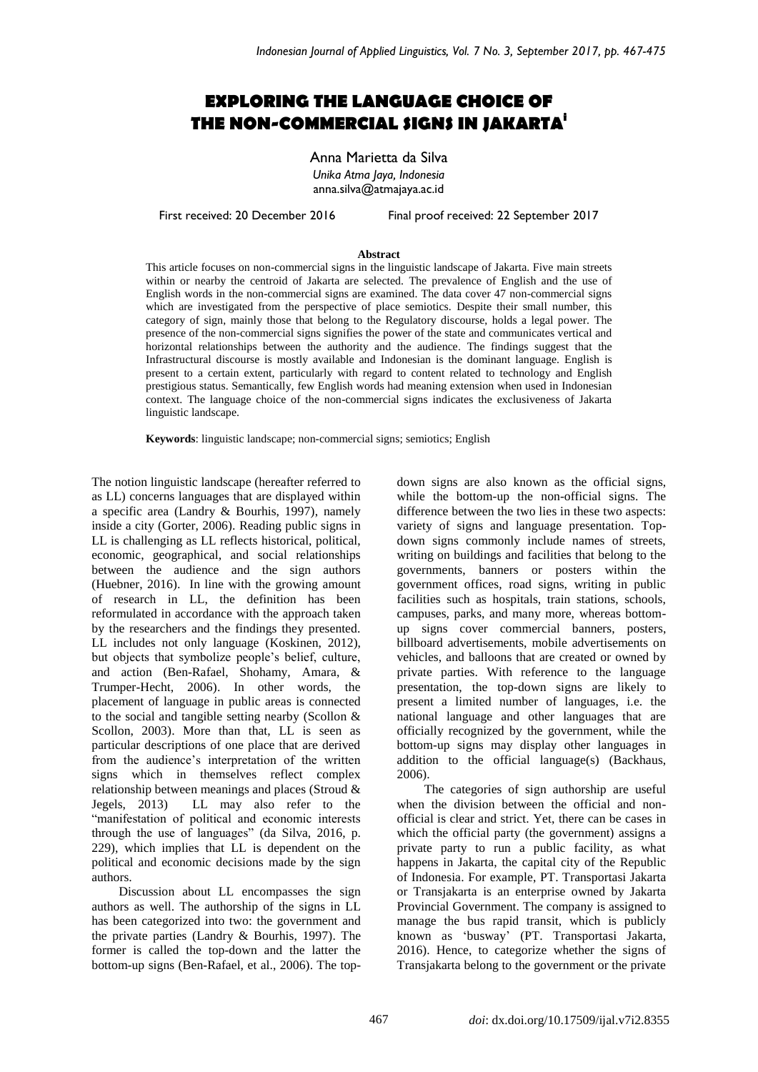# **EXPLORING THE LANGUAGE CHOICE OF THE NON-COMMERCIAL SIGNS IN JAKARTA<sup>i</sup>**

Anna Marietta da Silva *Unika Atma Jaya, Indonesia* anna.silva@atmajaya.ac.id

First received: 20 December 2016 Final proof received: 22 September 2017

#### **Abstract**

This article focuses on non-commercial signs in the linguistic landscape of Jakarta. Five main streets within or nearby the centroid of Jakarta are selected. The prevalence of English and the use of English words in the non-commercial signs are examined. The data cover 47 non-commercial signs which are investigated from the perspective of place semiotics. Despite their small number, this category of sign, mainly those that belong to the Regulatory discourse, holds a legal power. The presence of the non-commercial signs signifies the power of the state and communicates vertical and horizontal relationships between the authority and the audience. The findings suggest that the Infrastructural discourse is mostly available and Indonesian is the dominant language. English is present to a certain extent, particularly with regard to content related to technology and English prestigious status. Semantically, few English words had meaning extension when used in Indonesian context. The language choice of the non-commercial signs indicates the exclusiveness of Jakarta linguistic landscape.

**Keywords**: linguistic landscape; non-commercial signs; semiotics; English

The notion linguistic landscape (hereafter referred to as LL) concerns languages that are displayed within a specific area (Landry & Bourhis, 1997), namely inside a city (Gorter, 2006). Reading public signs in LL is challenging as LL reflects historical, political, economic, geographical, and social relationships between the audience and the sign authors (Huebner, 2016). In line with the growing amount of research in LL, the definition has been reformulated in accordance with the approach taken by the researchers and the findings they presented. LL includes not only language (Koskinen, 2012), but objects that symbolize people's belief, culture, and action (Ben-Rafael, Shohamy, Amara, & Trumper-Hecht, 2006). In other words, the placement of language in public areas is connected to the social and tangible setting nearby (Scollon & Scollon, 2003). More than that, LL is seen as particular descriptions of one place that are derived from the audience's interpretation of the written signs which in themselves reflect complex relationship between meanings and places (Stroud & Jegels, 2013) LL may also refer to the "manifestation of political and economic interests through the use of languages" (da Silva, 2016, p. 229), which implies that LL is dependent on the political and economic decisions made by the sign authors.

Discussion about LL encompasses the sign authors as well. The authorship of the signs in LL has been categorized into two: the government and the private parties (Landry & Bourhis, 1997). The former is called the top-down and the latter the bottom-up signs (Ben-Rafael, et al., 2006). The topdown signs are also known as the official signs, while the bottom-up the non-official signs. The difference between the two lies in these two aspects: variety of signs and language presentation. Topdown signs commonly include names of streets, writing on buildings and facilities that belong to the governments, banners or posters within the government offices, road signs, writing in public facilities such as hospitals, train stations, schools, campuses, parks, and many more, whereas bottomup signs cover commercial banners, posters, billboard advertisements, mobile advertisements on vehicles, and balloons that are created or owned by private parties. With reference to the language presentation, the top-down signs are likely to present a limited number of languages, i.e. the national language and other languages that are officially recognized by the government, while the bottom-up signs may display other languages in addition to the official language(s) (Backhaus, 2006).

The categories of sign authorship are useful when the division between the official and nonofficial is clear and strict. Yet, there can be cases in which the official party (the government) assigns a private party to run a public facility, as what happens in Jakarta, the capital city of the Republic of Indonesia. For example, PT. Transportasi Jakarta or Transjakarta is an enterprise owned by Jakarta Provincial Government. The company is assigned to manage the bus rapid transit, which is publicly known as 'busway' (PT. Transportasi Jakarta, 2016). Hence, to categorize whether the signs of Transjakarta belong to the government or the private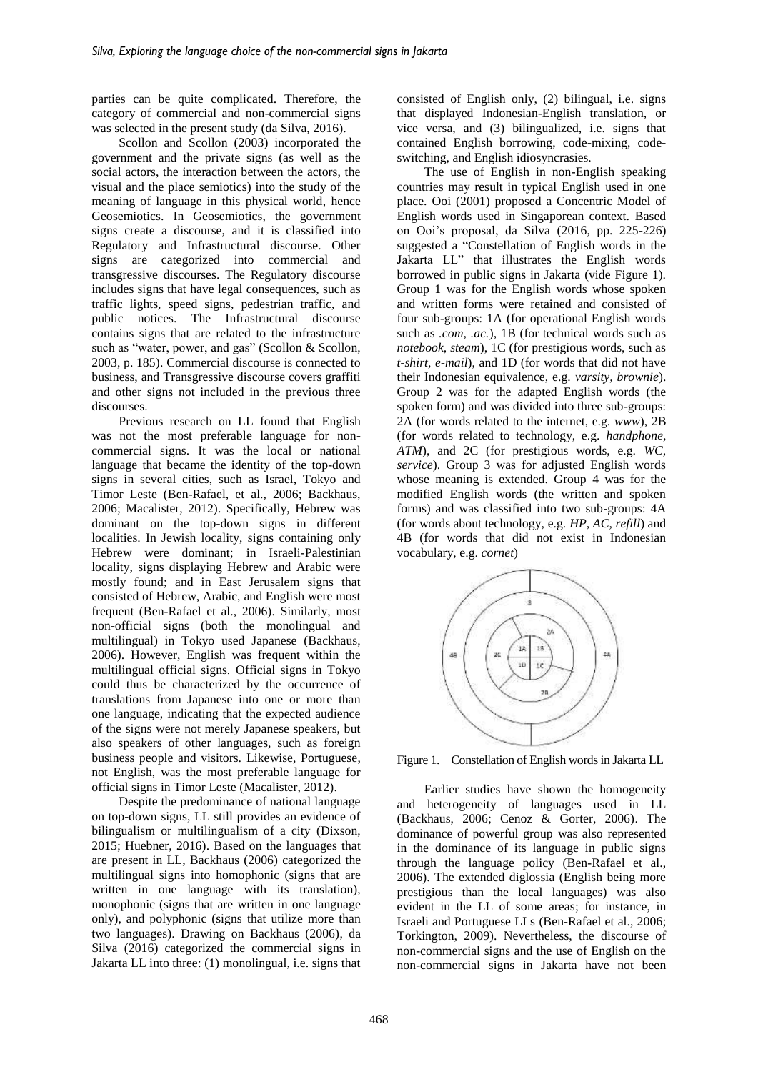parties can be quite complicated. Therefore, the category of commercial and non-commercial signs was selected in the present study (da Silva, 2016).

Scollon and Scollon (2003) incorporated the government and the private signs (as well as the social actors, the interaction between the actors, the visual and the place semiotics) into the study of the meaning of language in this physical world, hence Geosemiotics. In Geosemiotics, the government signs create a discourse, and it is classified into Regulatory and Infrastructural discourse. Other signs are categorized into commercial and transgressive discourses. The Regulatory discourse includes signs that have legal consequences, such as traffic lights, speed signs, pedestrian traffic, and public notices. The Infrastructural discourse contains signs that are related to the infrastructure such as "water, power, and gas" (Scollon & Scollon, 2003, p. 185). Commercial discourse is connected to business, and Transgressive discourse covers graffiti and other signs not included in the previous three discourses.

Previous research on LL found that English was not the most preferable language for noncommercial signs. It was the local or national language that became the identity of the top-down signs in several cities, such as Israel, Tokyo and Timor Leste (Ben-Rafael, et al., 2006; Backhaus, 2006; Macalister, 2012). Specifically, Hebrew was dominant on the top-down signs in different localities. In Jewish locality, signs containing only Hebrew were dominant; in Israeli-Palestinian locality, signs displaying Hebrew and Arabic were mostly found; and in East Jerusalem signs that consisted of Hebrew, Arabic, and English were most frequent (Ben-Rafael et al., 2006). Similarly, most non-official signs (both the monolingual and multilingual) in Tokyo used Japanese (Backhaus, 2006). However, English was frequent within the multilingual official signs. Official signs in Tokyo could thus be characterized by the occurrence of translations from Japanese into one or more than one language, indicating that the expected audience of the signs were not merely Japanese speakers, but also speakers of other languages, such as foreign business people and visitors. Likewise, Portuguese, not English, was the most preferable language for official signs in Timor Leste (Macalister, 2012).

Despite the predominance of national language on top-down signs, LL still provides an evidence of bilingualism or multilingualism of a city (Dixson, 2015; Huebner, 2016). Based on the languages that are present in LL, Backhaus (2006) categorized the multilingual signs into homophonic (signs that are written in one language with its translation), monophonic (signs that are written in one language only), and polyphonic (signs that utilize more than two languages). Drawing on Backhaus (2006), da Silva (2016) categorized the commercial signs in Jakarta LL into three: (1) monolingual, i.e. signs that

consisted of English only, (2) bilingual, i.e. signs that displayed Indonesian-English translation, or vice versa, and (3) bilingualized, i.e. signs that contained English borrowing, code-mixing, codeswitching, and English idiosyncrasies.

The use of English in non-English speaking countries may result in typical English used in one place. Ooi (2001) proposed a Concentric Model of English words used in Singaporean context. Based on Ooi's proposal, da Silva (2016, pp. 225-226) suggested a "Constellation of English words in the Jakarta LL" that illustrates the English words borrowed in public signs in Jakarta (vide Figure 1). Group 1 was for the English words whose spoken and written forms were retained and consisted of four sub-groups: 1A (for operational English words such as *.com, .ac.*), 1B (for technical words such as *notebook, steam*), 1C (for prestigious words, such as *t-shirt, e-mail*), and 1D (for words that did not have their Indonesian equivalence, e.g. *varsity, brownie*). Group 2 was for the adapted English words (the spoken form) and was divided into three sub-groups: 2A (for words related to the internet, e.g. *www*), 2B (for words related to technology, e.g. *handphone, ATM*), and 2C (for prestigious words, e.g. *WC, service*). Group 3 was for adjusted English words whose meaning is extended. Group 4 was for the modified English words (the written and spoken forms) and was classified into two sub-groups: 4A (for words about technology, e.g. *HP, AC, refill*) and 4B (for words that did not exist in Indonesian vocabulary, e.g. *cornet*)



Figure 1. Constellation of English words in Jakarta LL

Earlier studies have shown the homogeneity and heterogeneity of languages used in LL (Backhaus, 2006; Cenoz & Gorter, 2006). The dominance of powerful group was also represented in the dominance of its language in public signs through the language policy (Ben-Rafael et al., 2006). The extended diglossia (English being more prestigious than the local languages) was also evident in the LL of some areas; for instance, in Israeli and Portuguese LLs (Ben-Rafael et al., 2006; Torkington, 2009). Nevertheless, the discourse of non-commercial signs and the use of English on the non-commercial signs in Jakarta have not been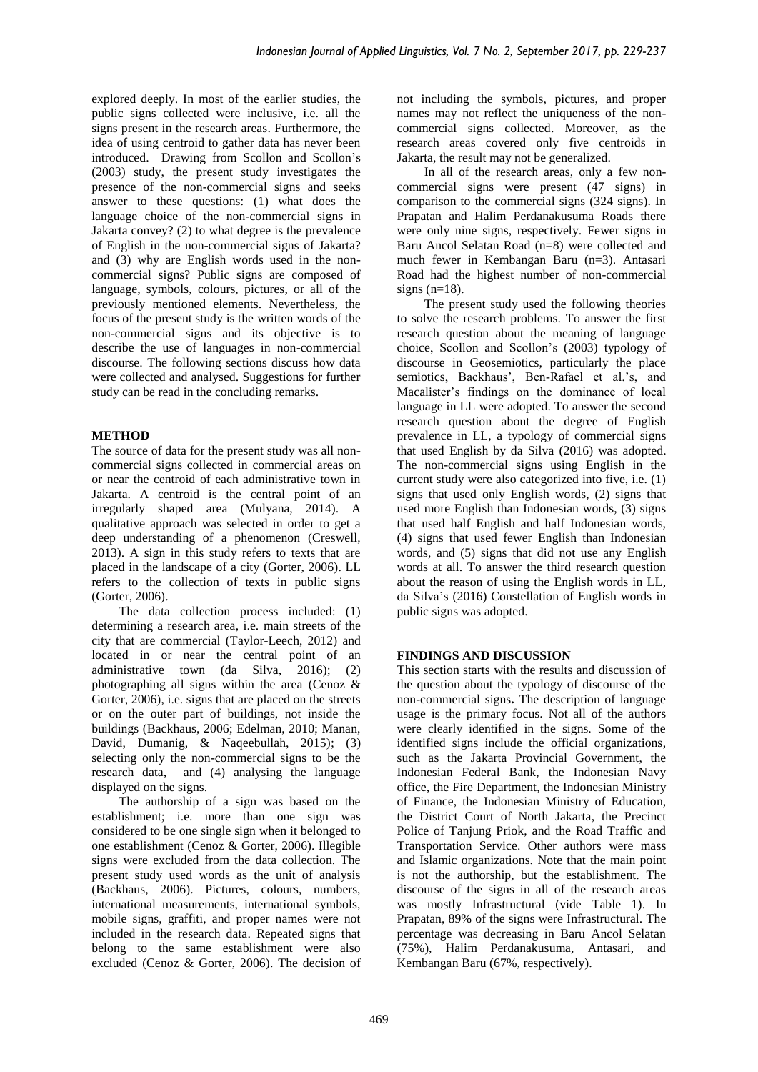explored deeply. In most of the earlier studies, the public signs collected were inclusive, i.e. all the signs present in the research areas. Furthermore, the idea of using centroid to gather data has never been introduced. Drawing from Scollon and Scollon's (2003) study, the present study investigates the presence of the non-commercial signs and seeks answer to these questions: (1) what does the language choice of the non-commercial signs in Jakarta convey? (2) to what degree is the prevalence of English in the non-commercial signs of Jakarta? and (3) why are English words used in the noncommercial signs? Public signs are composed of language, symbols, colours, pictures, or all of the previously mentioned elements. Nevertheless, the focus of the present study is the written words of the non-commercial signs and its objective is to describe the use of languages in non-commercial discourse. The following sections discuss how data were collected and analysed. Suggestions for further study can be read in the concluding remarks.

### **METHOD**

The source of data for the present study was all noncommercial signs collected in commercial areas on or near the centroid of each administrative town in Jakarta. A centroid is the central point of an irregularly shaped area (Mulyana, 2014). A qualitative approach was selected in order to get a deep understanding of a phenomenon (Creswell, 2013). A sign in this study refers to texts that are placed in the landscape of a city (Gorter, 2006). LL refers to the collection of texts in public signs (Gorter, 2006).

The data collection process included: (1) determining a research area, i.e. main streets of the city that are commercial (Taylor-Leech, 2012) and located in or near the central point of an administrative town (da Silva, 2016); (2) photographing all signs within the area (Cenoz & Gorter, 2006), i.e. signs that are placed on the streets or on the outer part of buildings, not inside the buildings (Backhaus, 2006; Edelman, 2010; Manan, David, Dumanig, & Naqeebullah, 2015); (3) selecting only the non-commercial signs to be the research data, and (4) analysing the language displayed on the signs.

The authorship of a sign was based on the establishment; i.e. more than one sign was considered to be one single sign when it belonged to one establishment (Cenoz & Gorter, 2006). Illegible signs were excluded from the data collection. The present study used words as the unit of analysis (Backhaus, 2006). Pictures, colours, numbers, international measurements, international symbols, mobile signs, graffiti, and proper names were not included in the research data. Repeated signs that belong to the same establishment were also excluded (Cenoz & Gorter, 2006). The decision of not including the symbols, pictures, and proper names may not reflect the uniqueness of the noncommercial signs collected. Moreover, as the research areas covered only five centroids in Jakarta, the result may not be generalized.

In all of the research areas, only a few noncommercial signs were present (47 signs) in comparison to the commercial signs (324 signs). In Prapatan and Halim Perdanakusuma Roads there were only nine signs, respectively. Fewer signs in Baru Ancol Selatan Road (n=8) were collected and much fewer in Kembangan Baru (n=3). Antasari Road had the highest number of non-commercial signs  $(n=18)$ .

The present study used the following theories to solve the research problems. To answer the first research question about the meaning of language choice, Scollon and Scollon's (2003) typology of discourse in Geosemiotics, particularly the place semiotics, Backhaus', Ben-Rafael et al.'s, and Macalister's findings on the dominance of local language in LL were adopted. To answer the second research question about the degree of English prevalence in LL, a typology of commercial signs that used English by da Silva (2016) was adopted. The non-commercial signs using English in the current study were also categorized into five, i.e. (1) signs that used only English words, (2) signs that used more English than Indonesian words, (3) signs that used half English and half Indonesian words, (4) signs that used fewer English than Indonesian words, and (5) signs that did not use any English words at all. To answer the third research question about the reason of using the English words in LL, da Silva's (2016) Constellation of English words in public signs was adopted.

## **FINDINGS AND DISCUSSION**

This section starts with the results and discussion of the question about the typology of discourse of the non-commercial signs**.** The description of language usage is the primary focus. Not all of the authors were clearly identified in the signs. Some of the identified signs include the official organizations, such as the Jakarta Provincial Government, the Indonesian Federal Bank, the Indonesian Navy office, the Fire Department, the Indonesian Ministry of Finance, the Indonesian Ministry of Education, the District Court of North Jakarta, the Precinct Police of Tanjung Priok, and the Road Traffic and Transportation Service. Other authors were mass and Islamic organizations. Note that the main point is not the authorship, but the establishment. The discourse of the signs in all of the research areas was mostly Infrastructural (vide Table 1). In Prapatan, 89% of the signs were Infrastructural. The percentage was decreasing in Baru Ancol Selatan (75%), Halim Perdanakusuma, Antasari, and Kembangan Baru (67%, respectively).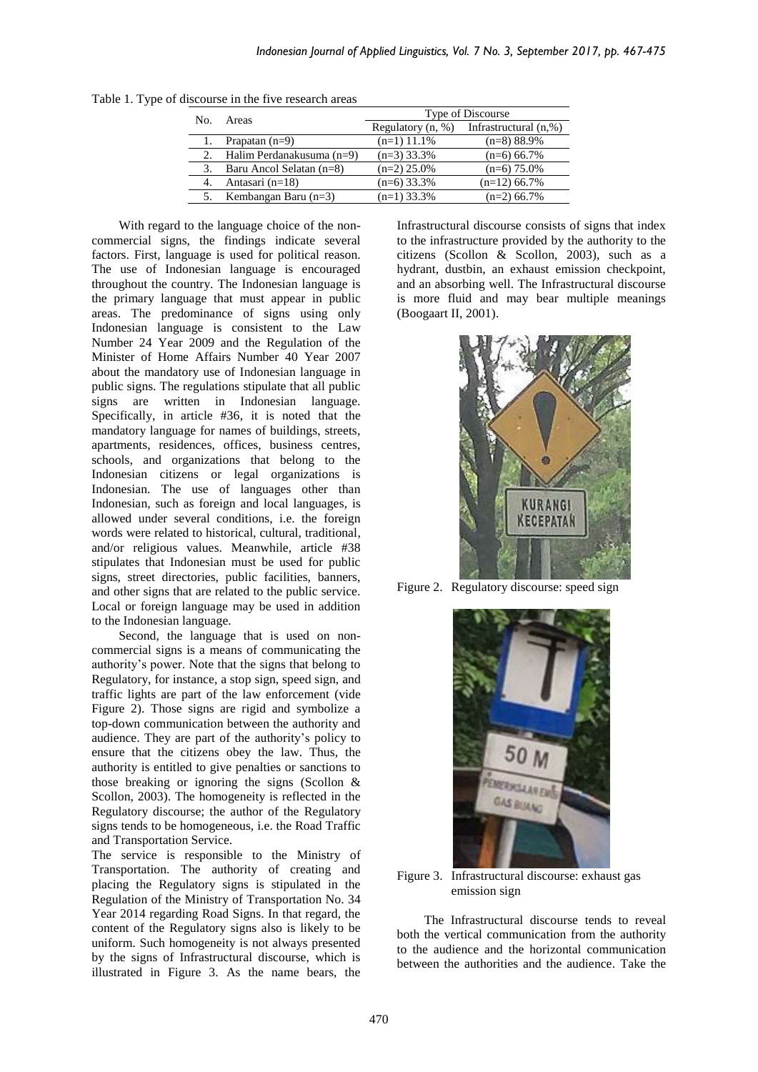| No. | Areas                     | Type of Discourse   |                       |  |  |
|-----|---------------------------|---------------------|-----------------------|--|--|
|     |                           | Regulatory $(n, %)$ | Infrastructural (n,%) |  |  |
|     | Prapatan $(n=9)$          | $(n=1)$ 11.1%       | $(n=8)$ 88.9%         |  |  |
|     | Halim Perdanakusuma (n=9) | $(n=3)$ 33.3%       | $(n=6)$ 66.7%         |  |  |
|     | Baru Ancol Selatan (n=8)  | $(n=2)$ 25.0%       | $(n=6)$ 75.0%         |  |  |
| 4.  | Antasari $(n=18)$         | $(n=6)$ 33.3%       | $(n=12)$ 66.7%        |  |  |
|     | Kembangan Baru $(n=3)$    | $(n=1)$ 33.3%       | $(n=2)$ 66.7%         |  |  |

Table 1. Type of discourse in the five research areas

With regard to the language choice of the noncommercial signs, the findings indicate several factors. First, language is used for political reason. The use of Indonesian language is encouraged throughout the country. The Indonesian language is the primary language that must appear in public areas. The predominance of signs using only Indonesian language is consistent to the Law Number 24 Year 2009 and the Regulation of the Minister of Home Affairs Number 40 Year 2007 about the mandatory use of Indonesian language in public signs. The regulations stipulate that all public signs are written in Indonesian language. Specifically, in article #36, it is noted that the mandatory language for names of buildings, streets, apartments, residences, offices, business centres, schools, and organizations that belong to the Indonesian citizens or legal organizations is Indonesian. The use of languages other than Indonesian, such as foreign and local languages, is allowed under several conditions, i.e. the foreign words were related to historical, cultural, traditional, and/or religious values. Meanwhile, article #38 stipulates that Indonesian must be used for public signs, street directories, public facilities, banners, and other signs that are related to the public service. Local or foreign language may be used in addition to the Indonesian language.

Second, the language that is used on noncommercial signs is a means of communicating the authority's power. Note that the signs that belong to Regulatory, for instance, a stop sign, speed sign, and traffic lights are part of the law enforcement (vide Figure 2). Those signs are rigid and symbolize a top-down communication between the authority and audience. They are part of the authority's policy to ensure that the citizens obey the law. Thus, the authority is entitled to give penalties or sanctions to those breaking or ignoring the signs (Scollon & Scollon, 2003). The homogeneity is reflected in the Regulatory discourse; the author of the Regulatory signs tends to be homogeneous, i.e. the Road Traffic and Transportation Service.

The service is responsible to the Ministry of Transportation. The authority of creating and placing the Regulatory signs is stipulated in the Regulation of the Ministry of Transportation No. 34 Year 2014 regarding Road Signs. In that regard, the content of the Regulatory signs also is likely to be uniform. Such homogeneity is not always presented by the signs of Infrastructural discourse, which is illustrated in Figure 3. As the name bears, the Infrastructural discourse consists of signs that index to the infrastructure provided by the authority to the citizens (Scollon & Scollon, 2003), such as a hydrant, dustbin, an exhaust emission checkpoint, and an absorbing well. The Infrastructural discourse is more fluid and may bear multiple meanings (Boogaart II, 2001).



Figure 2. Regulatory discourse: speed sign



Figure 3. Infrastructural discourse: exhaust gas emission sign

The Infrastructural discourse tends to reveal both the vertical communication from the authority to the audience and the horizontal communication between the authorities and the audience. Take the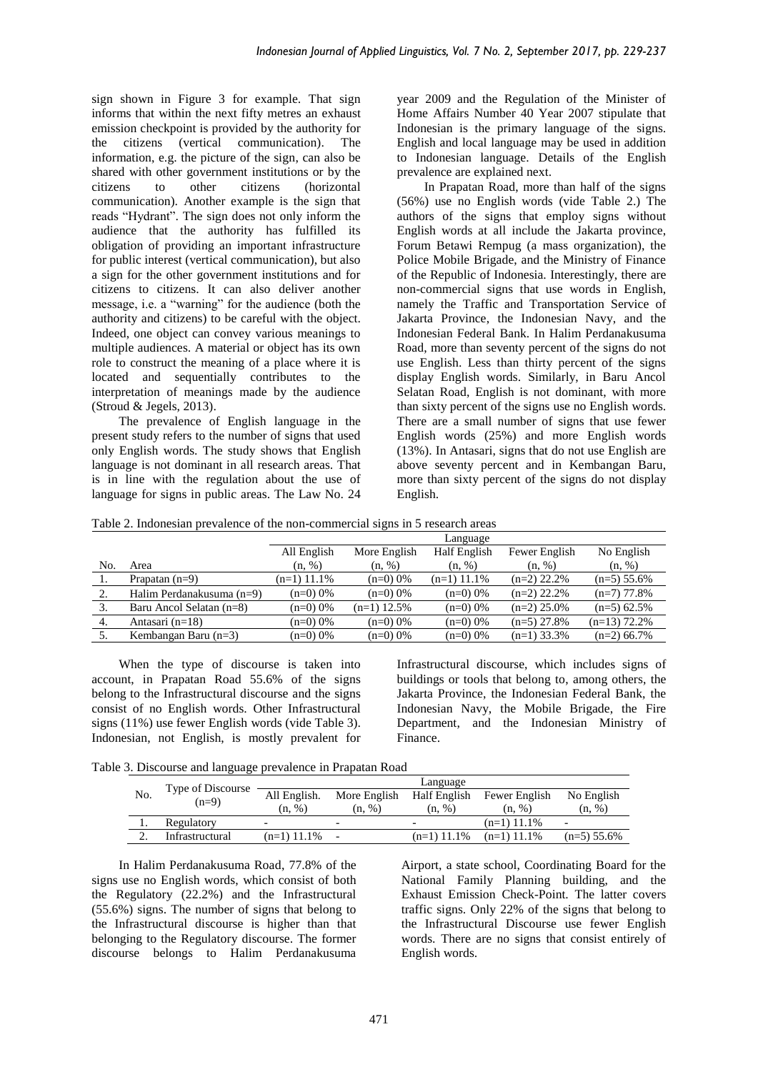sign shown in Figure 3 for example. That sign informs that within the next fifty metres an exhaust emission checkpoint is provided by the authority for the citizens (vertical communication). The information, e.g. the picture of the sign, can also be shared with other government institutions or by the<br>citizens to other citizens (horizontal (horizontal communication). Another example is the sign that reads "Hydrant". The sign does not only inform the audience that the authority has fulfilled its obligation of providing an important infrastructure for public interest (vertical communication), but also a sign for the other government institutions and for citizens to citizens. It can also deliver another message, i.e. a "warning" for the audience (both the authority and citizens) to be careful with the object. Indeed, one object can convey various meanings to multiple audiences. A material or object has its own role to construct the meaning of a place where it is located and sequentially contributes to the interpretation of meanings made by the audience (Stroud & Jegels, 2013).

The prevalence of English language in the present study refers to the number of signs that used only English words. The study shows that English language is not dominant in all research areas. That is in line with the regulation about the use of language for signs in public areas. The Law No. 24 year 2009 and the Regulation of the Minister of Home Affairs Number 40 Year 2007 stipulate that Indonesian is the primary language of the signs. English and local language may be used in addition to Indonesian language. Details of the English prevalence are explained next.

In Prapatan Road, more than half of the signs (56%) use no English words (vide Table 2.) The authors of the signs that employ signs without English words at all include the Jakarta province, Forum Betawi Rempug (a mass organization), the Police Mobile Brigade, and the Ministry of Finance of the Republic of Indonesia. Interestingly, there are non-commercial signs that use words in English, namely the Traffic and Transportation Service of Jakarta Province, the Indonesian Navy, and the Indonesian Federal Bank. In Halim Perdanakusuma Road, more than seventy percent of the signs do not use English. Less than thirty percent of the signs display English words. Similarly, in Baru Ancol Selatan Road, English is not dominant, with more than sixty percent of the signs use no English words. There are a small number of signs that use fewer English words (25%) and more English words (13%). In Antasari, signs that do not use English are above seventy percent and in Kembangan Baru, more than sixty percent of the signs do not display English.

Table 2. Indonesian prevalence of the non-commercial signs in 5 research areas

|     |                           |               | Language      |               |               |                |  |  |  |
|-----|---------------------------|---------------|---------------|---------------|---------------|----------------|--|--|--|
|     |                           | All English   | More English  | Half English  | Fewer English | No English     |  |  |  |
| No. | Area                      | (n, %)        | (n, %)        | (n, %)        | (n, %)        | (n, %)         |  |  |  |
|     | Prapatan $(n=9)$          | $(n=1)$ 11.1% | $(n=0)$ 0%    | $(n=1)$ 11.1% | $(n=2)$ 22.2% | $(n=5)$ 55.6%  |  |  |  |
|     | Halim Perdanakusuma (n=9) | $(n=0)$ 0%    | $(n=0)$ 0%    | $(n=0)$ 0%    | $(n=2)$ 22.2% | $(n=7)$ 77.8%  |  |  |  |
|     | Baru Ancol Selatan (n=8)  | $(n=0)0\%$    | $(n=1)$ 12.5% | $(n=0)$ 0%    | $(n=2)$ 25.0% | $(n=5)$ 62.5%  |  |  |  |
| 4.  | Antasari $(n=18)$         | (n=0) 0%      | $(n=0)$ 0%    | $(n=0)$ 0%    | $(n=5)$ 27.8% | $(n=13)$ 72.2% |  |  |  |
| 5.  | Kembangan Baru $(n=3)$    | (n=0) 0%      | $(n=0)$ 0%    | $(n=0)$ 0%    | $(n=1)$ 33.3% | $(n=2)$ 66.7%  |  |  |  |
|     |                           |               |               |               |               |                |  |  |  |

When the type of discourse is taken into account, in Prapatan Road 55.6% of the signs belong to the Infrastructural discourse and the signs consist of no English words. Other Infrastructural signs (11%) use fewer English words (vide Table 3). Indonesian, not English, is mostly prevalent for Infrastructural discourse, which includes signs of buildings or tools that belong to, among others, the Jakarta Province, the Indonesian Federal Bank, the Indonesian Navy, the Mobile Brigade, the Fire Department, and the Indonesian Ministry of Finance.

| Table 3. Discourse and language prevalence in Prapatan Road |  |  |
|-------------------------------------------------------------|--|--|
|                                                             |  |  |

|     | Type of Discourse | Language                 |              |                          |               |                          |  |
|-----|-------------------|--------------------------|--------------|--------------------------|---------------|--------------------------|--|
| No. |                   | All English.             | More English | Half English             | Fewer English | No English               |  |
|     | $(n=9)$           | (n, %)                   | (n, %)       | (n, %)                   | (n, %)        | (n, %)                   |  |
|     | Regulatory        | $\overline{\phantom{0}}$ |              | $\overline{\phantom{0}}$ | $(n=1)$ 11.1% | $\overline{\phantom{a}}$ |  |
| ٠.  | Infrastructural   | $(n=1)$ 11.1%            |              | $(n=1)$ 11.1%            | $(n=1)$ 11.1% | $(n=5)$ 55.6%            |  |
|     |                   |                          |              |                          |               |                          |  |

In Halim Perdanakusuma Road, 77.8% of the signs use no English words, which consist of both the Regulatory (22.2%) and the Infrastructural (55.6%) signs. The number of signs that belong to the Infrastructural discourse is higher than that belonging to the Regulatory discourse. The former discourse belongs to Halim Perdanakusuma Airport, a state school, Coordinating Board for the National Family Planning building, and the Exhaust Emission Check-Point. The latter covers traffic signs. Only 22% of the signs that belong to the Infrastructural Discourse use fewer English words. There are no signs that consist entirely of English words.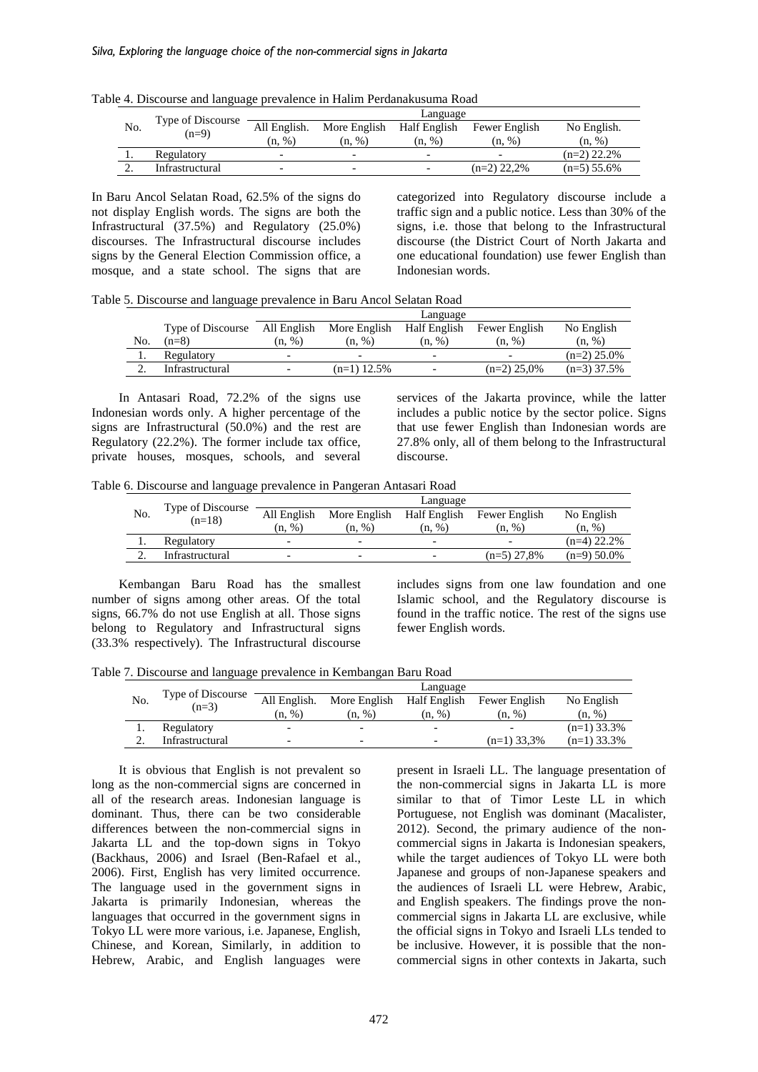|     | Type of Discourse | Language     |                          |                          |                          |               |  |
|-----|-------------------|--------------|--------------------------|--------------------------|--------------------------|---------------|--|
| No. | $(n=9)$           | All English. | More English             | Half English             | Fewer English            | No English.   |  |
|     |                   | (n, %)       | (n, %)                   | (n, %)                   | (n, %)                   | (n, %)        |  |
|     | Regulatory        |              | $\overline{\phantom{0}}$ | $\overline{\phantom{0}}$ | $\overline{\phantom{0}}$ | $(n=2)$ 22.2% |  |
| ٠.  | Infrastructural   |              | -                        | $\overline{\phantom{0}}$ | $(n=2)$ 22,2%            | $(n=5)$ 55.6% |  |

Table 4. Discourse and language prevalence in Halim Perdanakusuma Road

In Baru Ancol Selatan Road, 62.5% of the signs do not display English words. The signs are both the Infrastructural (37.5%) and Regulatory (25.0%) discourses. The Infrastructural discourse includes signs by the General Election Commission office, a mosque, and a state school. The signs that are categorized into Regulatory discourse include a traffic sign and a public notice. Less than 30% of the signs, i.e. those that belong to the Infrastructural discourse (the District Court of North Jakarta and one educational foundation) use fewer English than Indonesian words.

Table 5. Discourse and language prevalence in Baru Ancol Selatan Road

|     |                   |             | Language                 |                          |                          |               |  |  |
|-----|-------------------|-------------|--------------------------|--------------------------|--------------------------|---------------|--|--|
|     | Type of Discourse | All English | More English             | Half English             | Fewer English            | No English    |  |  |
| No. | $(n=8)$           | (n, %)      | (n, %)                   | (n, %)                   | (n, %)                   | (n, %)        |  |  |
| I.  | Regulatory        |             | $\overline{\phantom{0}}$ | $\overline{\phantom{0}}$ | $\overline{\phantom{0}}$ | $(n=2)$ 25.0% |  |  |
| ٠.  | Infrastructural   |             | $(n=1)$ 12.5%            | $\overline{\phantom{0}}$ | $(n=2)$ 25,0%            | $(n=3)$ 37.5% |  |  |
|     |                   |             |                          |                          |                          |               |  |  |

In Antasari Road, 72.2% of the signs use Indonesian words only. A higher percentage of the signs are Infrastructural (50.0%) and the rest are Regulatory (22.2%). The former include tax office, private houses, mosques, schools, and several services of the Jakarta province, while the latter includes a public notice by the sector police. Signs that use fewer English than Indonesian words are 27.8% only, all of them belong to the Infrastructural discourse.

Table 6. Discourse and language prevalence in Pangeran Antasari Road

|     | Type of Discourse | Language                 |                          |              |               |               |  |
|-----|-------------------|--------------------------|--------------------------|--------------|---------------|---------------|--|
| No. | $(n=18)$          | All English              | More English             | Half English | Fewer English | No English    |  |
|     |                   | (n, %)                   | (n, %)                   | (n, %)       | (n, %)        | (n, %)        |  |
| ı.  | Regulatory        | $\overline{\phantom{0}}$ | $\overline{\phantom{0}}$ | -            |               | $(n=4)$ 22.2% |  |
|     | Infrastructural   | $\overline{\phantom{0}}$ | $\overline{\phantom{0}}$ |              | $(n=5)$ 27.8% | $(n=9)$ 50.0% |  |

Kembangan Baru Road has the smallest number of signs among other areas. Of the total signs, 66.7% do not use English at all. Those signs belong to Regulatory and Infrastructural signs (33.3% respectively). The Infrastructural discourse includes signs from one law foundation and one Islamic school, and the Regulatory discourse is found in the traffic notice. The rest of the signs use fewer English words.

Table 7. Discourse and language prevalence in Kembangan Baru Road

|     | Type of Discourse | Language     |                          |                          |               |               |  |
|-----|-------------------|--------------|--------------------------|--------------------------|---------------|---------------|--|
| No. | $(n=3)$           | All English. | More English             | Half English             | Fewer English | No English    |  |
|     |                   | (n. %)       | (n, %)                   | (n, %)                   | (n, %)        | (n, %)        |  |
|     | Regulatory        | -            | $\overline{\phantom{0}}$ | $\overline{\phantom{0}}$ |               | $(n=1)$ 33.3% |  |
|     | Infrastructural   | -            | $\overline{\phantom{0}}$ | $\overline{\phantom{0}}$ | $(n=1)$ 33,3% | $(n=1)$ 33.3% |  |

It is obvious that English is not prevalent so long as the non-commercial signs are concerned in all of the research areas. Indonesian language is dominant. Thus, there can be two considerable differences between the non-commercial signs in Jakarta LL and the top-down signs in Tokyo (Backhaus, 2006) and Israel (Ben-Rafael et al., 2006). First, English has very limited occurrence. The language used in the government signs in Jakarta is primarily Indonesian, whereas the languages that occurred in the government signs in Tokyo LL were more various, i.e. Japanese, English, Chinese, and Korean, Similarly, in addition to Hebrew, Arabic, and English languages were present in Israeli LL. The language presentation of the non-commercial signs in Jakarta LL is more similar to that of Timor Leste LL in which Portuguese, not English was dominant (Macalister, 2012). Second, the primary audience of the noncommercial signs in Jakarta is Indonesian speakers, while the target audiences of Tokyo LL were both Japanese and groups of non-Japanese speakers and the audiences of Israeli LL were Hebrew, Arabic, and English speakers. The findings prove the noncommercial signs in Jakarta LL are exclusive, while the official signs in Tokyo and Israeli LLs tended to be inclusive. However, it is possible that the noncommercial signs in other contexts in Jakarta, such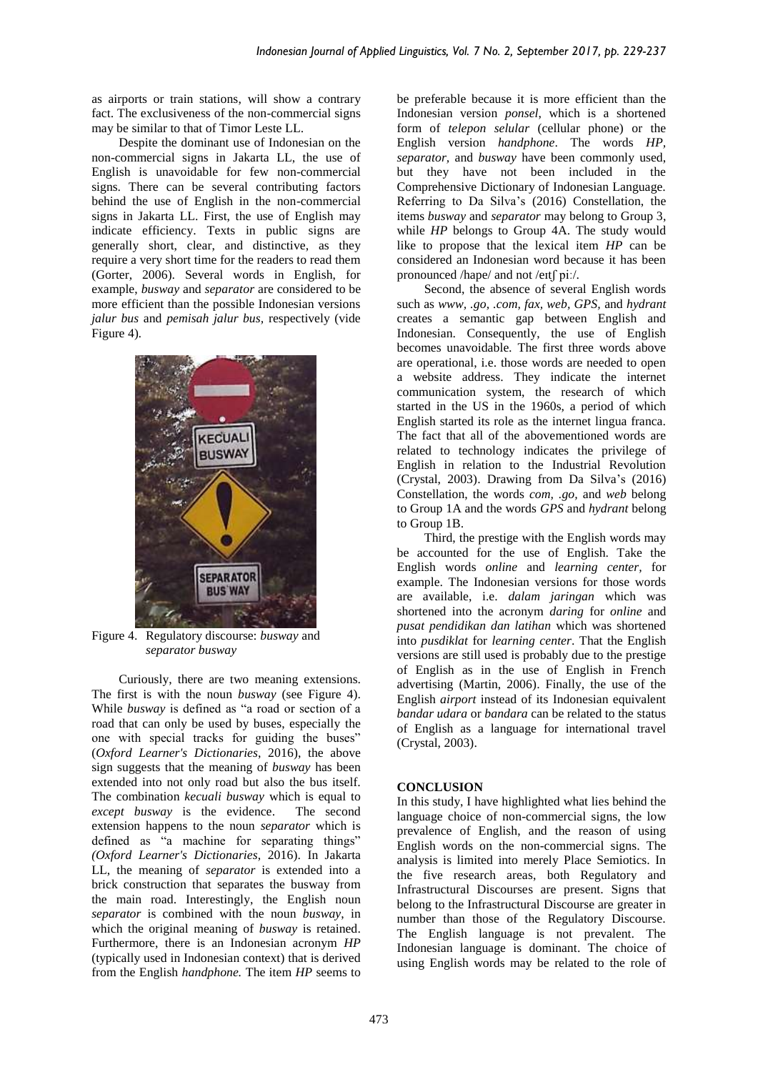as airports or train stations, will show a contrary fact. The exclusiveness of the non-commercial signs may be similar to that of Timor Leste LL.

Despite the dominant use of Indonesian on the non-commercial signs in Jakarta LL, the use of English is unavoidable for few non-commercial signs. There can be several contributing factors behind the use of English in the non-commercial signs in Jakarta LL. First, the use of English may indicate efficiency. Texts in public signs are generally short, clear, and distinctive, as they require a very short time for the readers to read them (Gorter, 2006). Several words in English, for example, *busway* and *separator* are considered to be more efficient than the possible Indonesian versions *jalur bus* and *pemisah jalur bus,* respectively (vide Figure 4)*.*



Figure 4. Regulatory discourse: *busway* and *separator busway*

Curiously, there are two meaning extensions. The first is with the noun *busway* (see Figure 4). While *busway* is defined as "a road or section of a road that can only be used by buses, especially the one with special tracks for guiding the buses" (*Oxford Learner's Dictionaries*, 2016), the above sign suggests that the meaning of *busway* has been extended into not only road but also the bus itself. The combination *kecuali busway* which is equal to *except busway* is the evidence. The second extension happens to the noun *separator* which is defined as "a machine for separating things" *(Oxford Learner's Dictionaries*, 2016). In Jakarta LL, the meaning of *separator* is extended into a brick construction that separates the busway from the main road. Interestingly, the English noun *separator* is combined with the noun *busway*, in which the original meaning of *busway* is retained. Furthermore, there is an Indonesian acronym *HP* (typically used in Indonesian context) that is derived from the English *handphone.* The item *HP* seems to be preferable because it is more efficient than the Indonesian version *ponsel*, which is a shortened form of *telepon selular* (cellular phone) or the English version *handphone*. The words *HP, separator,* and *busway* have been commonly used, but they have not been included in the Comprehensive Dictionary of Indonesian Language. Referring to Da Silva's (2016) Constellation, the items *busway* and *separator* may belong to Group 3, while *HP* belongs to Group 4A. The study would like to propose that the lexical item *HP* can be considered an Indonesian word because it has been pronounced /hape/ and not /eɪtʃ piː/.

Second, the absence of several English words such as *www, .go, .com, fax, web, GPS,* and *hydrant* creates a semantic gap between English and Indonesian. Consequently, the use of English becomes unavoidable*.* The first three words above are operational, i.e. those words are needed to open a website address. They indicate the internet communication system, the research of which started in the US in the 1960s, a period of which English started its role as the internet lingua franca. The fact that all of the abovementioned words are related to technology indicates the privilege of English in relation to the Industrial Revolution (Crystal, 2003). Drawing from Da Silva's (2016) Constellation, the words *com, .go,* and *web* belong to Group 1A and the words *GPS* and *hydrant* belong to Group 1B.

Third, the prestige with the English words may be accounted for the use of English. Take the English words *online* and *learning center,* for example. The Indonesian versions for those words are available, i.e. *dalam jaringan* which was shortened into the acronym *daring* for *online* and *pusat pendidikan dan latihan* which was shortened into *pusdiklat* for *learning center*. That the English versions are still used is probably due to the prestige of English as in the use of English in French advertising (Martin, 2006). Finally, the use of the English *airport* instead of its Indonesian equivalent *bandar udara* or *bandara* can be related to the status of English as a language for international travel (Crystal, 2003).

### **CONCLUSION**

In this study, I have highlighted what lies behind the language choice of non-commercial signs, the low prevalence of English, and the reason of using English words on the non-commercial signs. The analysis is limited into merely Place Semiotics. In the five research areas, both Regulatory and Infrastructural Discourses are present. Signs that belong to the Infrastructural Discourse are greater in number than those of the Regulatory Discourse. The English language is not prevalent. The Indonesian language is dominant. The choice of using English words may be related to the role of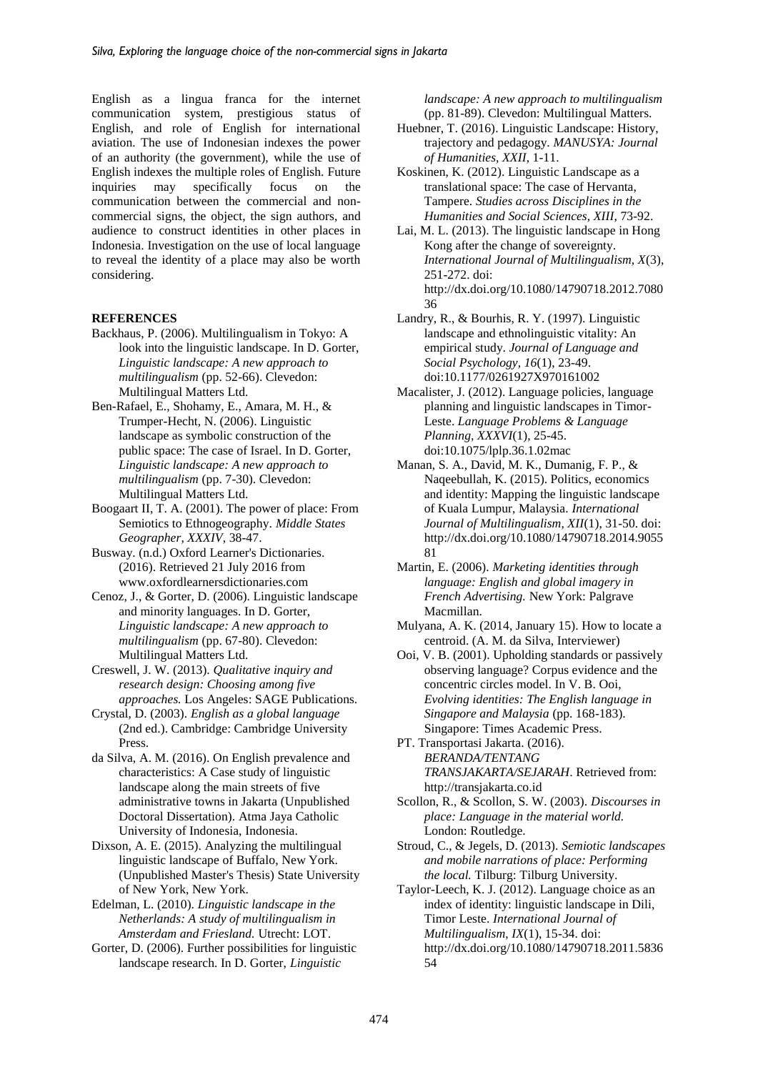English as a lingua franca for the internet communication system, prestigious status of English, and role of English for international aviation. The use of Indonesian indexes the power of an authority (the government), while the use of English indexes the multiple roles of English. Future<br>inquiries may specifically focus on the inquiries may specifically focus on the communication between the commercial and noncommercial signs, the object, the sign authors, and audience to construct identities in other places in Indonesia. Investigation on the use of local language to reveal the identity of a place may also be worth considering.

#### **REFERENCES**

- Backhaus, P. (2006). Multilingualism in Tokyo: A look into the linguistic landscape. In D. Gorter, *Linguistic landscape: A new approach to multilingualism* (pp. 52-66). Clevedon: Multilingual Matters Ltd.
- Ben-Rafael, E., Shohamy, E., Amara, M. H., & Trumper-Hecht, N. (2006). Linguistic landscape as symbolic construction of the public space: The case of Israel. In D. Gorter, *Linguistic landscape: A new approach to multilingualism* (pp. 7-30). Clevedon: Multilingual Matters Ltd.
- Boogaart II, T. A. (2001). The power of place: From Semiotics to Ethnogeography. *Middle States Geographer, XXXIV*, 38-47.
- Busway. (n.d.) Oxford Learner's Dictionaries. (2016). Retrieved 21 July 2016 from www.oxfordlearnersdictionaries.com
- Cenoz, J., & Gorter, D. (2006). Linguistic landscape and minority languages. In D. Gorter, *Linguistic landscape: A new approach to multilingualism* (pp. 67-80). Clevedon: Multilingual Matters Ltd.
- Creswell, J. W. (2013). *Qualitative inquiry and research design: Choosing among five approaches.* Los Angeles: SAGE Publications.
- Crystal, D. (2003). *English as a global language* (2nd ed.). Cambridge: Cambridge University Press.
- da Silva, A. M. (2016). On English prevalence and characteristics: A Case study of linguistic landscape along the main streets of five administrative towns in Jakarta (Unpublished Doctoral Dissertation). Atma Jaya Catholic University of Indonesia, Indonesia.
- Dixson, A. E. (2015). Analyzing the multilingual linguistic landscape of Buffalo, New York. (Unpublished Master's Thesis) State University of New York, New York.
- Edelman, L. (2010). *Linguistic landscape in the Netherlands: A study of multilingualism in Amsterdam and Friesland.* Utrecht: LOT.
- Gorter, D. (2006). Further possibilities for linguistic landscape research. In D. Gorter, *Linguistic*

*landscape: A new approach to multilingualism* (pp. 81-89). Clevedon: Multilingual Matters.

- Huebner, T. (2016). Linguistic Landscape: History, trajectory and pedagogy. *MANUSYA: Journal of Humanities, XXII*, 1-11.
- Koskinen, K. (2012). Linguistic Landscape as a translational space: The case of Hervanta, Tampere. *Studies across Disciplines in the Humanities and Social Sciences, XIII*, 73-92.
- Lai, M. L. (2013). The linguistic landscape in Hong Kong after the change of sovereignty. *International Journal of Multilingualism, X*(3), 251-272. doi: http://dx.doi.org/10.1080/14790718.2012.7080 36
- Landry, R., & Bourhis, R. Y. (1997). Linguistic landscape and ethnolinguistic vitality: An empirical study. *Journal of Language and Social Psychology, 16*(1), 23-49. doi:10.1177/0261927X970161002
- Macalister, J. (2012). Language policies, language planning and linguistic landscapes in Timor-Leste. *Language Problems & Language Planning, XXXVI*(1), 25-45. doi:10.1075/lplp.36.1.02mac
- Manan, S. A., David, M. K., Dumanig, F. P., & Naqeebullah, K. (2015). Politics, economics and identity: Mapping the linguistic landscape of Kuala Lumpur, Malaysia. *International Journal of Multilingualism, XII*(1), 31-50. doi: http://dx.doi.org/10.1080/14790718.2014.9055 81
- Martin, E. (2006). *Marketing identities through language: English and global imagery in French Advertising.* New York: Palgrave Macmillan.
- Mulyana, A. K. (2014, January 15). How to locate a centroid. (A. M. da Silva, Interviewer)
- Ooi, V. B. (2001). Upholding standards or passively observing language? Corpus evidence and the concentric circles model. In V. B. Ooi, *Evolving identities: The English language in Singapore and Malaysia* (pp. 168-183). Singapore: Times Academic Press.
- PT. Transportasi Jakarta. (2016). *BERANDA/TENTANG TRANSJAKARTA/SEJARAH*. Retrieved from: http://transjakarta.co.id
- Scollon, R., & Scollon, S. W. (2003). *Discourses in place: Language in the material world.* London: Routledge.
- Stroud, C., & Jegels, D. (2013). *Semiotic landscapes and mobile narrations of place: Performing the local.* Tilburg: Tilburg University.
- Taylor-Leech, K. J. (2012). Language choice as an index of identity: linguistic landscape in Dili, Timor Leste. *International Journal of Multilingualism, IX*(1), 15-34. doi: http://dx.doi.org/10.1080/14790718.2011.5836 54